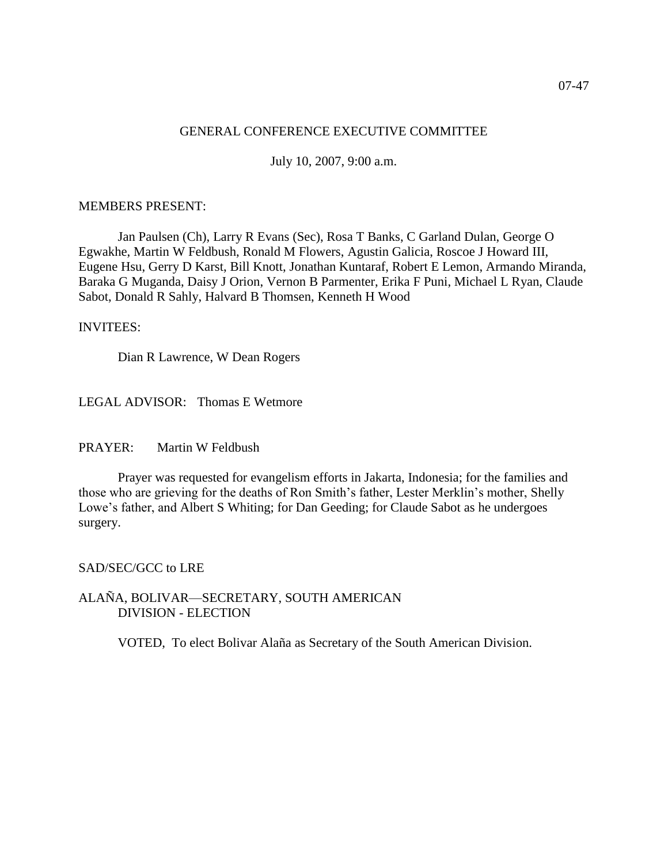#### GENERAL CONFERENCE EXECUTIVE COMMITTEE

July 10, 2007, 9:00 a.m.

#### MEMBERS PRESENT:

Jan Paulsen (Ch), Larry R Evans (Sec), Rosa T Banks, C Garland Dulan, George O Egwakhe, Martin W Feldbush, Ronald M Flowers, Agustin Galicia, Roscoe J Howard III, Eugene Hsu, Gerry D Karst, Bill Knott, Jonathan Kuntaraf, Robert E Lemon, Armando Miranda, Baraka G Muganda, Daisy J Orion, Vernon B Parmenter, Erika F Puni, Michael L Ryan, Claude Sabot, Donald R Sahly, Halvard B Thomsen, Kenneth H Wood

#### INVITEES:

Dian R Lawrence, W Dean Rogers

LEGAL ADVISOR: Thomas E Wetmore

PRAYER: Martin W Feldbush

Prayer was requested for evangelism efforts in Jakarta, Indonesia; for the families and those who are grieving for the deaths of Ron Smith's father, Lester Merklin's mother, Shelly Lowe's father, and Albert S Whiting; for Dan Geeding; for Claude Sabot as he undergoes surgery.

SAD/SEC/GCC to LRE

ALAÑA, BOLIVAR—SECRETARY, SOUTH AMERICAN DIVISION - ELECTION

VOTED, To elect Bolivar Alaña as Secretary of the South American Division.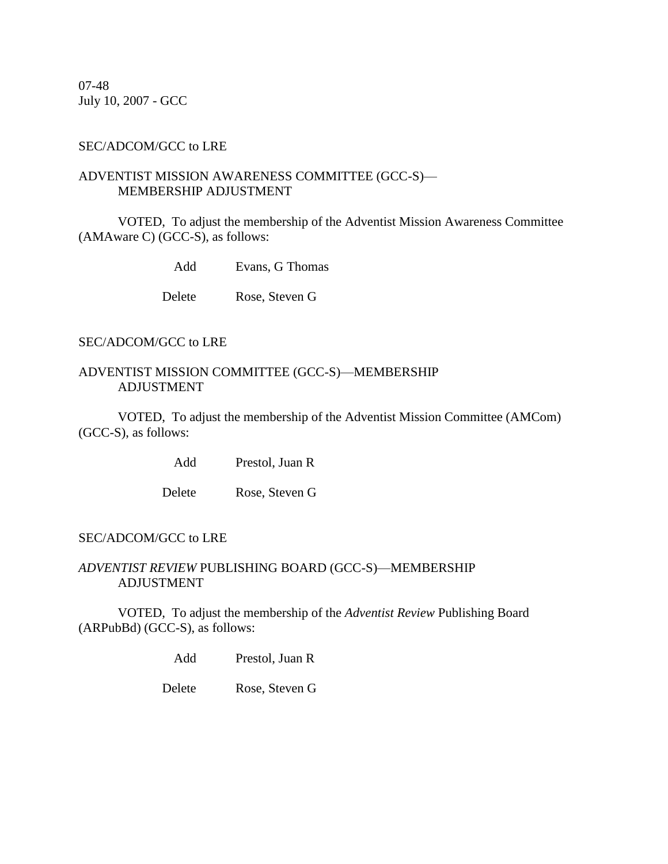07-48 July 10, 2007 - GCC

#### SEC/ADCOM/GCC to LRE

#### ADVENTIST MISSION AWARENESS COMMITTEE (GCC-S)— MEMBERSHIP ADJUSTMENT

VOTED, To adjust the membership of the Adventist Mission Awareness Committee (AMAware C) (GCC-S), as follows:

Add Evans, G Thomas

Delete Rose, Steven G

### SEC/ADCOM/GCC to LRE

## ADVENTIST MISSION COMMITTEE (GCC-S)—MEMBERSHIP ADJUSTMENT

VOTED, To adjust the membership of the Adventist Mission Committee (AMCom) (GCC-S), as follows:

Add Prestol, Juan R

Delete Rose, Steven G

### SEC/ADCOM/GCC to LRE

## *ADVENTIST REVIEW* PUBLISHING BOARD (GCC-S)—MEMBERSHIP ADJUSTMENT

VOTED, To adjust the membership of the *Adventist Review* Publishing Board (ARPubBd) (GCC-S), as follows:

Add Prestol, Juan R

Delete Rose, Steven G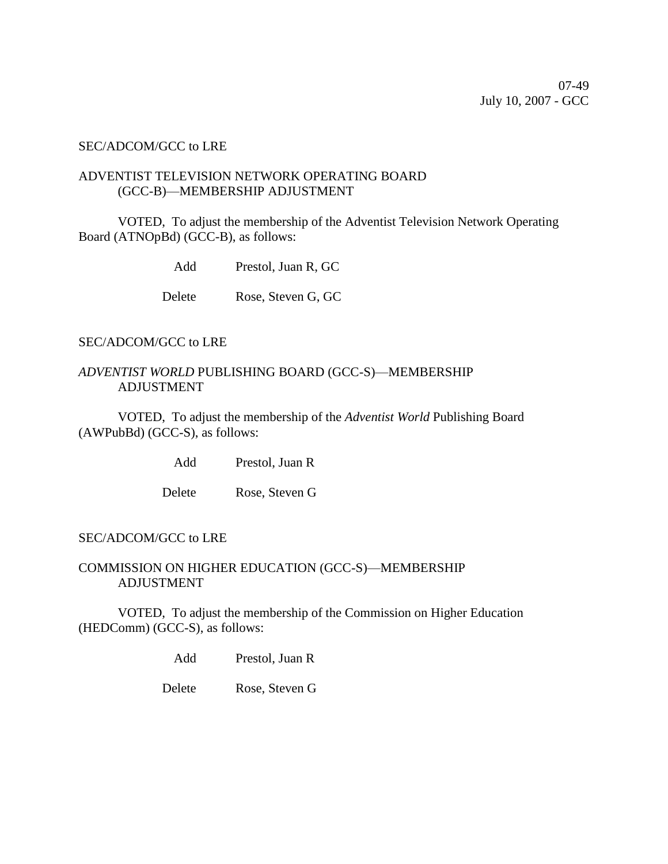#### SEC/ADCOM/GCC to LRE

### ADVENTIST TELEVISION NETWORK OPERATING BOARD (GCC-B)—MEMBERSHIP ADJUSTMENT

VOTED, To adjust the membership of the Adventist Television Network Operating Board (ATNOpBd) (GCC-B), as follows:

Add Prestol, Juan R, GC

Delete Rose, Steven G, GC

### SEC/ADCOM/GCC to LRE

## *ADVENTIST WORLD* PUBLISHING BOARD (GCC-S)—MEMBERSHIP ADJUSTMENT

VOTED, To adjust the membership of the *Adventist World* Publishing Board (AWPubBd) (GCC-S), as follows:

Add Prestol, Juan R

Delete Rose, Steven G

### SEC/ADCOM/GCC to LRE

## COMMISSION ON HIGHER EDUCATION (GCC-S)—MEMBERSHIP ADJUSTMENT

VOTED, To adjust the membership of the Commission on Higher Education (HEDComm) (GCC-S), as follows:

Add Prestol, Juan R

Delete Rose, Steven G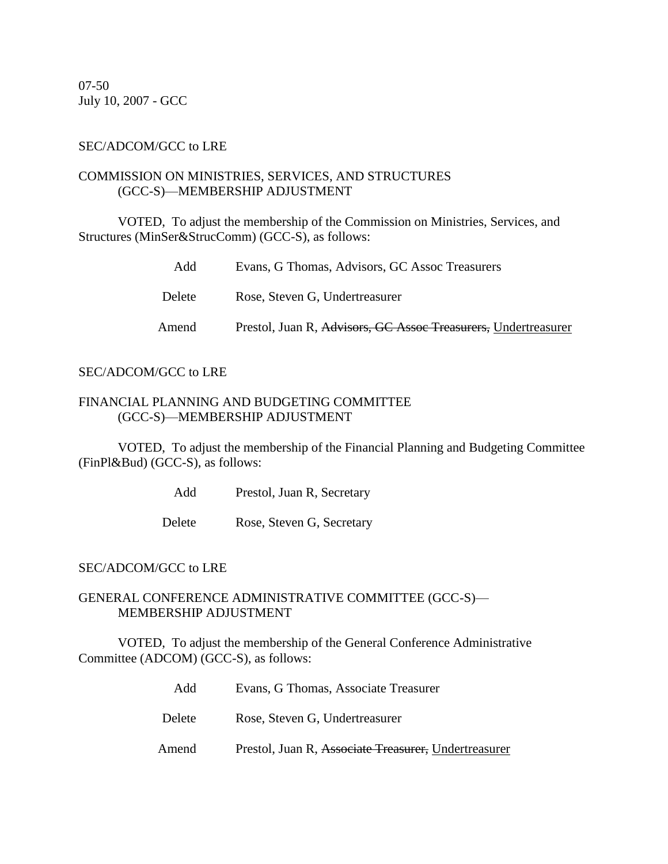07-50 July 10, 2007 - GCC

### SEC/ADCOM/GCC to LRE

### COMMISSION ON MINISTRIES, SERVICES, AND STRUCTURES (GCC-S)—MEMBERSHIP ADJUSTMENT

VOTED, To adjust the membership of the Commission on Ministries, Services, and Structures (MinSer&StrucComm) (GCC-S), as follows:

| Add    | Evans, G Thomas, Advisors, GC Assoc Treasurers                 |
|--------|----------------------------------------------------------------|
| Delete | Rose, Steven G, Undertreasurer                                 |
| Amend  | Prestol, Juan R, Advisors, GC Assoc Treasurers, Undertreasurer |

#### SEC/ADCOM/GCC to LRE

### FINANCIAL PLANNING AND BUDGETING COMMITTEE (GCC-S)—MEMBERSHIP ADJUSTMENT

VOTED, To adjust the membership of the Financial Planning and Budgeting Committee (FinPl&Bud) (GCC-S), as follows:

Add Prestol, Juan R, Secretary

Delete Rose, Steven G, Secretary

### SEC/ADCOM/GCC to LRE

### GENERAL CONFERENCE ADMINISTRATIVE COMMITTEE (GCC-S)— MEMBERSHIP ADJUSTMENT

VOTED, To adjust the membership of the General Conference Administrative Committee (ADCOM) (GCC-S), as follows:

> Add Evans, G Thomas, Associate Treasurer Delete Rose, Steven G, Undertreasurer Amend Prestol, Juan R, Associate Treasurer, Undertreasurer